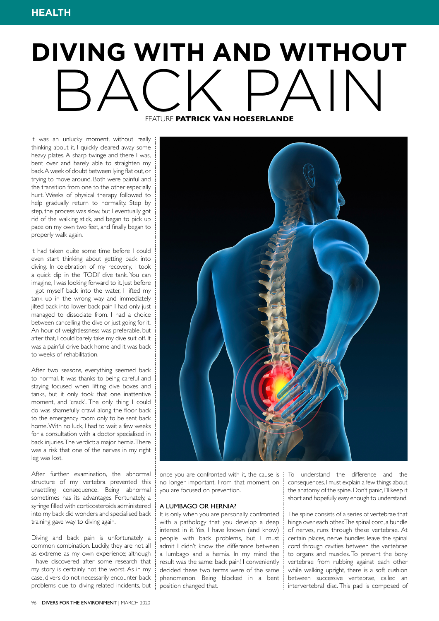# **DIVING WITH AND WITHOUT** BACK PAN FEATURE **PATRICK VAN HOESERLANDE**

It was an unlucky moment, without really thinking about it, I quickly cleared away some heavy plates. A sharp twinge and there I was, bent over and barely able to straighten my back. A week of doubt between lying flat out, or trying to move around. Both were painful and the transition from one to the other especially hurt. Weeks of physical therapy followed to help gradually return to normality. Step by step, the process was slow, but I eventually got rid of the walking stick, and began to pick up pace on my own two feet, and finally began to properly walk again.

It had taken quite some time before I could even start thinking about getting back into diving. In celebration of my recovery, I took a quick dip in the 'TODI' dive tank. You can imagine, I was looking forward to it. Just before I got myself back into the water, I lifted my tank up in the wrong way and immediately jilted back into lower back pain I had only just managed to dissociate from. I had a choice between cancelling the dive or just going for it. An hour of weightlessness was preferable, but after that, I could barely take my dive suit off. It was a painful drive back home and it was back to weeks of rehabilitation.

After two seasons, everything seemed back to normal. It was thanks to being careful and staying focused when lifting dive boxes and tanks, but it only took that one inattentive moment, and 'crack'. The only thing I could do was shamefully crawl along the floor back to the emergency room only to be sent back home. With no luck, I had to wait a few weeks for a consultation with a doctor specialised in back injuries. The verdict: a major hernia. There was a risk that one of the nerves in my right leg was lost.

After further examination, the abnormal structure of my vertebra prevented this unsettling consequence. Being abnormal sometimes has its advantages. Fortunately, a syringe filled with corticosteroids administered into my back did wonders and specialised back training gave way to diving again.

Diving and back pain is unfortunately a common combination. Luckily, they are not all as extreme as my own experience; although I have discovered after some research that my story is certainly not the worst. As in my case, divers do not necessarily encounter back problems due to diving-related incidents, but



once you are confronted with it, the cause is no longer important. From that moment on you are focused on prevention.

### A LUMBAGO OR HERNIA?

It is only when you are personally confronted with a pathology that you develop a deep interest in it. Yes, I have known (and know) people with back problems, but I must admit I didn't know the difference between a lumbago and a hernia. In my mind the result was the same: back pain! I conveniently decided these two terms were of the same phenomenon. Being blocked in a bent position changed that.

To understand the difference and the consequences, I must explain a few things about the anatomy of the spine. Don't panic, I'll keep it short and hopefully easy enough to understand.

The spine consists of a series of vertebrae that hinge over each other. The spinal cord, a bundle of nerves, runs through these vertebrae. At certain places, nerve bundles leave the spinal cord through cavities between the vertebrae to organs and muscles. To prevent the bony vertebrae from rubbing against each other while walking upright, there is a soft cushion between successive vertebrae, called an intervertebral disc. This pad is composed of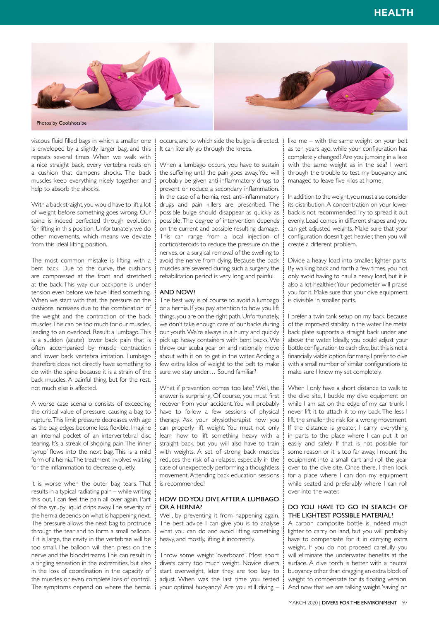

viscous fluid filled bags in which a smaller one is enveloped by a slightly larger bag, and this repeats several times. When we walk with a nice straight back, every vertebra rests on a cushion that dampens shocks. The back muscles keep everything nicely together and help to absorb the shocks.

With a back straight, you would have to lift a lot of weight before something goes wrong. Our spine is indeed perfected through evolution for lifting in this position. Unfortunately, we do other movements, which means we deviate from this ideal lifting position.

The most common mistake is lifting with a bent back. Due to the curve, the cushions are compressed at the front and stretched at the back. This way our backbone is under tension even before we have lifted something. When we start with that, the pressure on the cushions increases due to the combination of the weight and the contraction of the back muscles. This can be too much for our muscles, leading to an overload. Result: a lumbago. This is a sudden (acute) lower back pain that is often accompanied by muscle contraction and lower back vertebra irritation. Lumbago therefore does not directly have something to do with the spine because it is a strain of the back muscles. A painful thing, but for the rest, not much else is affected.

A worse case scenario consists of exceeding the critical value of pressure, causing a bag to rupture. This limit pressure decreases with age as the bag edges become less flexible. Imagine an internal pocket of an intervertebral disc tearing. It's a streak of shooing pain. The inner 'syrup' flows into the next bag. This is a mild form of a hernia. The treatment involves waiting for the inflammation to decrease quietly.

It is worse when the outer bag tears. That results in a typical radiating pain – while writing this out, I can feel the pain all over again. Part of the syrupy liquid drips away. The severity of the hernia depends on what is happening next. The pressure allows the next bag to protrude through the tear and to form a small balloon. If it is large, the cavity in the vertebrae will be too small. The balloon will then press on the nerve and the bloodstreams. This can result in a tingling sensation in the extremities, but also in the loss of coordination in the capacity of the muscles or even complete loss of control. The symptoms depend on where the hernia  $\frac{1}{2}$ 

occurs, and to which side the bulge is directed. It can literally go through the knees.

When a lumbago occurs, you have to sustain the suffering until the pain goes away. You will probably be given anti-inflammatory drugs to prevent or reduce a secondary inflammation. In the case of a hernia, rest, anti-inflammatory drugs and pain killers are prescribed. The possible bulge should disappear as quickly as possible. The degree of intervention depends on the current and possible resulting damage. This can range from a local injection of corticosteroids to reduce the pressure on the nerves, or a surgical removal of the swelling to avoid the nerve from dying. Because the back muscles are severed during such a surgery, the rehabilitation period is very long and painful.

### AND NOW?

The best way is of course to avoid a lumbago or a hernia. If you pay attention to how you lift things, you are on the right path. Unfortunately, we don't take enough care of our backs during our youth. We're always in a hurry and quickly pick up heavy containers with bent backs. We throw our scuba gear on and rationally move about with it on to get in the water. Adding a few extra kilos of weight to the belt to make sure we stay under… Sound familiar?

What if prevention comes too late? Well, the answer is surprising. Of course, you must first recover from your accident. You will probably have to follow a few sessions of physical therapy. Ask your physiotherapist how you can properly lift weight. You must not only learn how to lift something heavy with a straight back, but you will also have to train with weights. A set of strong back muscles reduces the risk of a relapse, especially in the case of unexpectedly performing a thoughtless movement. Attending back education sessions is recommended!

## HOW DO YOU DIVE AFTER A LUMBAGO OR A HERNIA?

Well, by preventing it from happening again. The best advice I can give you is to analyse what you can do and avoid lifting something heavy, and mostly, lifting it incorrectly.

Throw some weight 'overboard'. Most sport divers carry too much weight. Novice divers start overweight, later they are too lazy to adjust. When was the last time you tested your optimal buoyancy? Are you still diving – like me – with the same weight on your belt as ten years ago, while your configuration has completely changed? Are you jumping in a lake with the same weight as in the sea? I went through the trouble to test my buoyancy and managed to leave five kilos at home.

In addition to the weight, you must also consider its distribution. A concentration on your lower back is not recommended. Try to spread it out evenly. Lead comes in different shapes and you can get adjusted weights. Make sure that your configuration doesn't get heavier, then you will create a different problem.

Divide a heavy load into smaller, lighter parts. By walking back and forth a few times, you not only avoid having to haul a heavy load, but it is also a lot healthier. Your pedometer will praise you for it. Make sure that your dive equipment is divisible in smaller parts.

I prefer a twin tank setup on my back, because of the improved stability in the water. The metal back plate supports a straight back under and above the water. Ideally, you could adjust your bottle configuration to each dive, but this is not a financially viable option for many. I prefer to dive with a small number of similar configurations to make sure I know my set completely.

When I only have a short distance to walk to the dive site, I buckle my dive equipment on while I am sat on the edge of my car trunk. I never lift it to attach it to my back. The less I lift, the smaller the risk for a wrong movement. If the distance is greater, I carry everything in parts to the place where I can put it on easily and safely. If that is not possible for some reason or it is too far away, I mount the equipment into a small cart and roll the gear over to the dive site. Once there, I then look for a place where I can don my equipment while seated and preferably where I can roll over into the water.

## DO YOU HAVE TO GO IN SEARCH OF THE LIGHTEST POSSIBLE MATERIAL?

A carbon composite bottle is indeed much lighter to carry on land, but you will probably have to compensate for it in carrying extra weight. If you do not proceed carefully, you will eliminate the underwater benefits at the surface. A dive torch is better with a neutral buoyancy other than dragging an extra block of weight to compensate for its floating version. And now that we are talking weight, 'saving' on